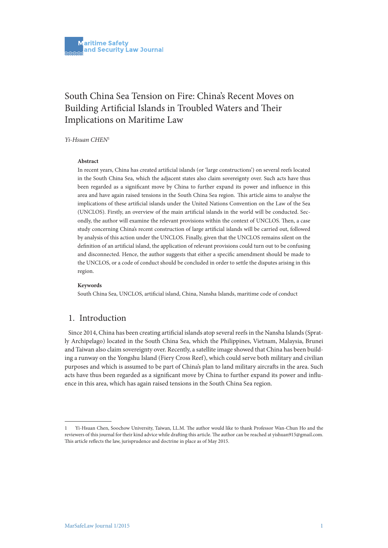# South China Sea Tension on Fire: China's Recent Moves on Building Artificial Islands in Troubled Waters and Their Implications on Maritime Law

### *Yi-Hsuan CHEN*<sup>1</sup>

#### **Abstract**

In recent years, China has created artificial islands (or 'large constructions') on several reefs located in the South China Sea, which the adjacent states also claim sovereignty over. Such acts have thus been regarded as a significant move by China to further expand its power and influence in this area and have again raised tensions in the South China Sea region. This article aims to analyse the implications of these artificial islands under the United Nations Convention on the Law of the Sea (UNCLOS). Firstly, an overview of the main artificial islands in the world will be conducted. Secondly, the author will examine the relevant provisions within the context of UNCLOS. Then, a case study concerning China's recent construction of large artificial islands will be carried out, followed by analysis of this action under the UNCLOS. Finally, given that the UNCLOS remains silent on the definition of an artificial island, the application of relevant provisions could turn out to be confusing and disconnected. Hence, the author suggests that either a specific amendment should be made to the UNCLOS, or a code of conduct should be concluded in order to settle the disputes arising in this region.

#### **Keywords**

South China Sea, UNCLOS, artificial island, China, Nansha Islands, maritime code of conduct

# 1. Introduction

Since 2014, China has been creating artificial islands atop several reefs in the Nansha Islands (Spratly Archipelago) located in the South China Sea, which the Philippines, Vietnam, Malaysia, Brunei and Taiwan also claim sovereignty over. Recently, a satellite image showed that China has been building a runway on the Yongshu Island (Fiery Cross Reef), which could serve both military and civilian purposes and which is assumed to be part of China's plan to land military aircrafts in the area. Such acts have thus been regarded as a significant move by China to further expand its power and influence in this area, which has again raised tensions in the South China Sea region.

<sup>1</sup> Yi-Hsuan Chen, Soochow University, Taiwan, LL.M. The author would like to thank Professor Wan-Chun Ho and the reviewers of this journal for their kind advice while drafting this article. The author can be reached at yishuan915@gmail.com. This article reflects the law, jurisprudence and doctrine in place as of May 2015.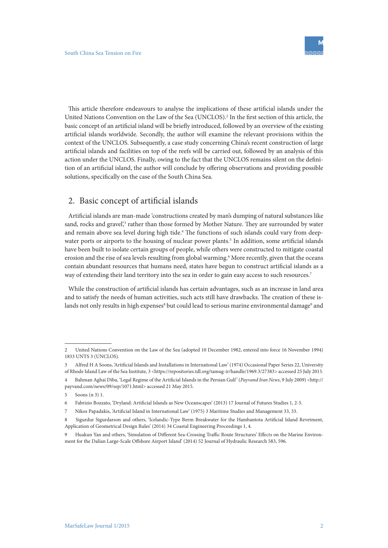This article therefore endeavours to analyse the implications of these artificial islands under the United Nations Convention on the Law of the Sea (UNCLOS).<sup>2</sup> In the first section of this article, the basic concept of an artificial island will be briefly introduced, followed by an overview of the existing artificial islands worldwide. Secondly, the author will examine the relevant provisions within the context of the UNCLOS. Subsequently, a case study concerning China's recent construction of large artificial islands and facilities on top of the reefs will be carried out, followed by an analysis of this action under the UNCLOS. Finally, owing to the fact that the UNCLOS remains silent on the definition of an artificial island, the author will conclude by offering observations and providing possible solutions, specifically on the case of the South China Sea.

# 2. Basic concept of artificial islands

Artificial islands are man-made 'constructions created by man's dumping of natural substances like sand, rocks and gravel',<sup>3</sup> rather than those formed by Mother Nature. They are surrounded by water and remain above sea level during high tide.<sup>4</sup> The functions of such islands could vary from deepwater ports or airports to the housing of nuclear power plants.<sup>5</sup> In addition, some artificial islands have been built to isolate certain groups of people, while others were constructed to mitigate coastal erosion and the rise of sea levels resulting from global warming.<sup>6</sup> More recently, given that the oceans contain abundant resources that humans need, states have begun to construct artificial islands as a way of extending their land territory into the sea in order to gain easy access to such resources.<sup>7</sup>

While the construction of artificial islands has certain advantages, such as an increase in land area and to satisfy the needs of human activities, such acts still have drawbacks. The creation of these islands not only results in high expenses<sup>8</sup> but could lead to serious marine environmental damage<sup>9</sup> and

<sup>2</sup> United Nations Convention on the Law of the Sea (adopted 10 December 1982, entered into force 16 November 1994) 1833 UNTS 3 (UNCLOS).

<sup>3</sup> Alfred H A Soons, 'Artificial Islands and Installations in International Law' (1974) Occasional Paper Series 22, University of Rhode Island Law of the Sea Institute, 3 <https://repositories.tdl.org/tamug-ir/handle/1969.3/27383> accessed 25 July 2015.

<sup>4</sup> Bahman Aghai Diba, 'Legal Regime of the Artificial Islands in the Persian Gulf ' (*Payvand Iran News*, 9 July 2009) <http:// payvand.com/news/09/sep/1071.html> accessed 21 May 2015.

<sup>5</sup> Soons (n 3) 1.

<sup>6</sup> Fabrizio Bozzato, 'Dryland: Artificial Islands as New Oceanscapes' (2013) 17 Journal of Futures Studies 1, 2-5.

<sup>7</sup> Nikos Papadakis, 'Artificial Island in International Law' (1975) 3 Maritime Studies and Management 33, 33.

<sup>8</sup> Sigurdur Sigurdarson and others, 'Icelandic-Type Berm Breakwater for the Hambantota Artificial Island Revetment, Application of Geometrical Design Rules' (2014) 34 Coastal Engineering Proceedings 1, 4.

<sup>9</sup> Huakun Yan and others, 'Simulation of Different Sea-Crossing Traffic Route Structures' Effects on the Marine Environment for the Dalian Large-Scale Offshore Airport Island' (2014) 52 Journal of Hydraulic Research 583, 596.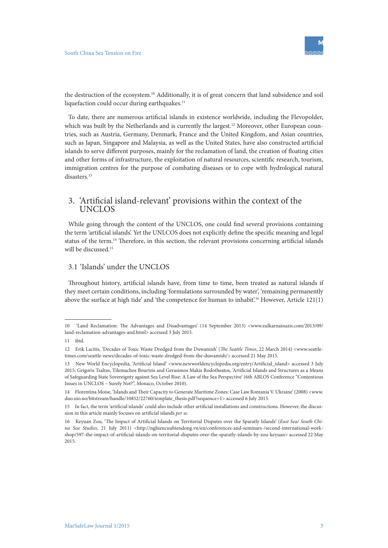

the destruction of the ecosystem.10 Additionally, it is of great concern that land subsidence and soil liquefaction could occur during earthquakes.<sup>11</sup>

To date, there are numerous artificial islands in existence worldwide, including the Flevopolder, which was built by the Netherlands and is currently the largest.<sup>12</sup> Moreover, other European countries, such as Austria, Germany, Denmark, France and the United Kingdom, and Asian countries, such as Japan, Singapore and Malaysia, as well as the United States, have also constructed artificial islands to serve different purposes, mainly for the reclamation of land, the creation of floating cities and other forms of infrastructure, the exploitation of natural resources, scientific research, tourism, immigration centres for the purpose of combating diseases or to cope with hydrological natural disasters.13

## 3. 'Artificial island-relevant' provisions within the context of the UNCLOS

While going through the content of the UNCLOS, one could find several provisions containing the term 'artificial islands'. Yet the UNLCOS does not explicitly define the specific meaning and legal status of the term.14 Therefore, in this section, the relevant provisions concerning artificial islands will be discussed.15

# 3.1 'Islands' under the UNCLOS

Throughout history, artificial islands have, from time to time, been treated as natural islands if they meet certain conditions, including 'formulations surrounded by water', 'remaining permanently above the surface at high tide' and 'the competence for human to inhabit'.<sup>16</sup> However, Article 121(1)

<sup>10 &#</sup>x27;Land Reclamation: The Advantages and Disadvantages' (14 September 2013) <www.zulkarnainazis.com/2013/09/ land-reclamation-advantages-and.html> accessed 3 July 2015.

<sup>11</sup> ibid.

<sup>12</sup> Erik Lacitis, 'Decades of Toxic Waste Dredged from the Duwamish' (*The Seattle Times*, 22 March 2014) <www.seattletimes.com/seattle-news/decades-of-toxic-waste-dredged-from-the-duwamish/> accessed 21 May 2015.

<sup>13</sup> New World Encyclopedia, 'Artificial Island' <www.newworldencyclopedia.org/entry/Artificial\_island> accessed 3 July 2015; Grigoris Tsaltas, Tilemachos Bourtzis and Gerasimos Makis Rodotheatos, 'Artificial Islands and Structures as a Means of Safeguarding State Sovereignty against Sea Level Rise: A Law of the Sea Perspective' (6th ABLOS Conference "Contentious Issues in UNCLOS – Surely Not?", Monaco, October 2010).

<sup>14</sup> Florentina Moise, 'Islands and Their Capacity to Generate Maritime Zones: Case Law Romania V. Ukraine' (2008) <www. duo.uio.no/bitstream/handle/10852/22760/template\_thesis.pdf?sequence=1> accessed 6 July 2015.

<sup>15</sup> In fact, the term 'artificial islands' could also include other artificial installations and constructions. However, the discussion in this article mainly focuses on artificial islands *per se*.

<sup>16</sup> Keyuan Zou, 'The Impact of Artificial Islands on Territorial Disputes over the Sparatly Islands' (*East Sea/ South China Sea Studies*, 21 July 2011) <http://nghiencuubiendong.vn/en/conferences-and-seminars-/second-international-workshop/597-the-impact-of-artificial-islands-on-territorial-disputes-over-the-sparatly-islands-by-zou-keyuan> accessed 22 May 2015.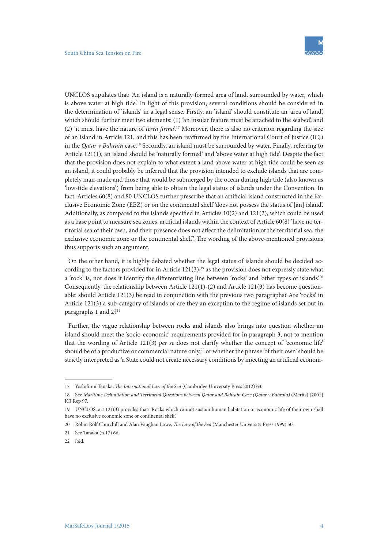UNCLOS stipulates that: 'An island is a naturally formed area of land, surrounded by water, which is above water at high tide.' In light of this provision, several conditions should be considered in the determination of 'islands' in a legal sense. Firstly, an 'island' should constitute an 'area of land', which should further meet two elements: (1) 'an insular feature must be attached to the seabed', and (2) 'it must have the nature of *terra firma*'.17 Moreover, there is also no criterion regarding the size of an island in Article 121, and this has been reaffirmed by the International Court of Justice (ICJ) in the *Qatar v Bahrain* case.18 Secondly, an island must be surrounded by water. Finally, referring to Article 121(1), an island should be 'naturally formed' and 'above water at high tide'. Despite the fact that the provision does not explain to what extent a land above water at high tide could be seen as an island, it could probably be inferred that the provision intended to exclude islands that are completely man-made and those that would be submerged by the ocean during high tide (also known as 'low-tide elevations') from being able to obtain the legal status of islands under the Convention. In fact, Articles 60(8) and 80 UNCLOS further prescribe that an artificial island constructed in the Exclusive Economic Zone (EEZ) or on the continental shelf 'does not possess the status of [an] island'. Additionally, as compared to the islands specified in Articles 10(2) and 121(2), which could be used as a base point to measure sea zones, artificial islands within the context of Article 60(8) 'have no territorial sea of their own, and their presence does not affect the delimitation of the territorial sea, the exclusive economic zone or the continental shelf'. The wording of the above-mentioned provisions thus supports such an argument.

On the other hand, it is highly debated whether the legal status of islands should be decided according to the factors provided for in Article  $121(3)$ ,<sup>19</sup> as the provision does not expressly state what a 'rock' is, nor does it identify the differentiating line between 'rocks' and 'other types of islands'.20 Consequently, the relationship between Article  $121(1)-(2)$  and Article  $121(3)$  has become questionable: should Article 121(3) be read in conjunction with the previous two paragraphs? Are 'rocks' in Article 121(3) a sub-category of islands or are they an exception to the regime of islands set out in paragraphs 1 and 2?<sup>21</sup>

Further, the vague relationship between rocks and islands also brings into question whether an island should meet the 'socio-economic' requirements provided for in paragraph 3, not to mention that the wording of Article 121(3) *per se* does not clarify whether the concept of 'economic life' should be of a productive or commercial nature only,<sup>22</sup> or whether the phrase 'of their own' should be strictly interpreted as 'a State could not create necessary conditions by injecting an artificial econom-

<sup>17</sup> Yoshifumi Tanaka, *The International Law of the Sea* (Cambridge University Press 2012) 63.

<sup>18</sup> See *Maritime Delimitation and Territorial Questions between Qatar and Bahrain Case (Qatar v Bahrain)* (Merits) [2001] ICJ Rep 97.

<sup>19</sup> UNCLOS, art 121(3) provides that: 'Rocks which cannot sustain human habitation or economic life of their own shall have no exclusive economic zone or continental shelf.'

<sup>20</sup> Robin Rolf Churchill and Alan Vaughan Lowe, *The Law of the Sea* (Manchester University Press 1999) 50.

<sup>21</sup> See Tanaka (n 17) 66.

<sup>22</sup> ibid.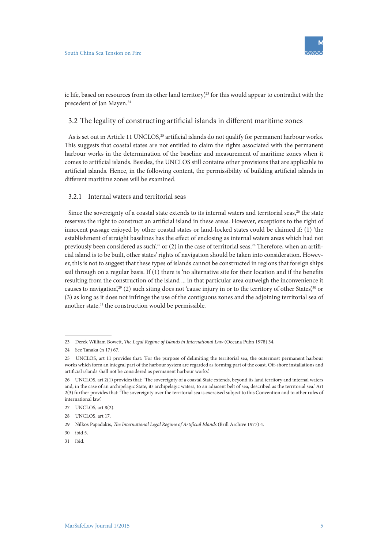

ic life, based on resources from its other land territory, $23$  for this would appear to contradict with the precedent of Jan Mayen.<sup>24</sup>

### 3.2 The legality of constructing artificial islands in different maritime zones

As is set out in Article 11 UNCLOS,<sup>25</sup> artificial islands do not qualify for permanent harbour works. This suggests that coastal states are not entitled to claim the rights associated with the permanent harbour works in the determination of the baseline and measurement of maritime zones when it comes to artificial islands. Besides, the UNCLOS still contains other provisions that are applicable to artificial islands. Hence, in the following content, the permissibility of building artificial islands in different maritime zones will be examined.

#### 3.2.1 Internal waters and territorial seas

Since the sovereignty of a coastal state extends to its internal waters and territorial seas,<sup>26</sup> the state reserves the right to construct an artificial island in these areas. However, exceptions to the right of innocent passage enjoyed by other coastal states or land-locked states could be claimed if: (1) 'the establishment of straight baselines has the effect of enclosing as internal waters areas which had not previously been considered as such,<sup>27</sup> or (2) in the case of territorial seas.<sup>28</sup> Therefore, when an artificial island is to be built, other states' rights of navigation should be taken into consideration. However, this is not to suggest that these types of islands cannot be constructed in regions that foreign ships sail through on a regular basis. If (1) there is 'no alternative site for their location and if the benefits resulting from the construction of the island ... in that particular area outweigh the inconvenience it causes to navigation<sup>',29</sup> (2) such siting does not 'cause injury in or to the territory of other States<sup>',30</sup> or (3) as long as it does not infringe the use of the contiguous zones and the adjoining territorial sea of another state,<sup>31</sup> the construction would be permissible.

<sup>23</sup> Derek William Bowett, *The Legal Regime of Islands in International Law* (Oceana Pubn 1978) 34.

<sup>24</sup> See Tanaka (n 17) 67.

<sup>25</sup> UNCLOS, art 11 provides that: 'For the purpose of delimiting the territorial sea, the outermost permanent harbour works which form an integral part of the harbour system are regarded as forming part of the coast. Off-shore installations and artificial islands shall not be considered as permanent harbour works.'

<sup>26</sup> UNCLOS, art 2(1) provides that: 'The sovereignty of a coastal State extends, beyond its land territory and internal waters and, in the case of an archipelagic State, its archipelagic waters, to an adjacent belt of sea, described as the territorial sea.' Art 2(3) further provides that: 'The sovereignty over the territorial sea is exercised subject to this Convention and to other rules of international law.'

<sup>27</sup> UNCLOS, art 8(2).

<sup>28</sup> UNCLOS, art 17.

<sup>29</sup> Nilkos Papadakis, *The International Legal Regime of Artificial Islands* (Brill Archive 1977) 4.

<sup>30</sup> ibid 5.

<sup>31</sup> ibid.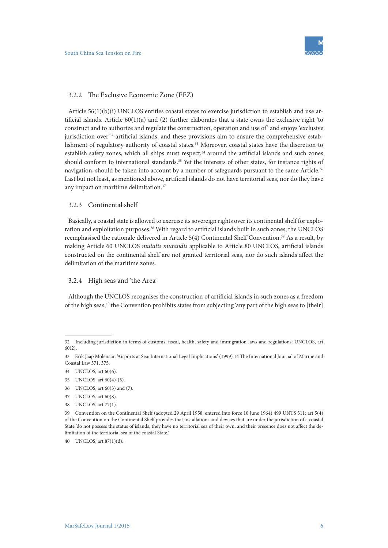#### 3.2.2 The Exclusive Economic Zone (EEZ)

Article 56(1)(b)(i) UNCLOS entitles coastal states to exercise jurisdiction to establish and use artificial islands. Article  $60(1)(a)$  and (2) further elaborates that a state owns the exclusive right 'to construct and to authorize and regulate the construction, operation and use of' and enjoys 'exclusive jurisdiction over<sup>'32</sup> artificial islands, and these provisions aim to ensure the comprehensive establishment of regulatory authority of coastal states.<sup>33</sup> Moreover, coastal states have the discretion to establish safety zones, which all ships must respect,<sup>34</sup> around the artificial islands and such zones should conform to international standards.<sup>35</sup> Yet the interests of other states, for instance rights of navigation, should be taken into account by a number of safeguards pursuant to the same Article.<sup>36</sup> Last but not least, as mentioned above, artificial islands do not have territorial seas, nor do they have any impact on maritime delimitation.<sup>37</sup>

### 3.2.3 Continental shelf

Basically, a coastal state is allowed to exercise its sovereign rights over its continental shelf for exploration and exploitation purposes.<sup>38</sup> With regard to artificial islands built in such zones, the UNCLOS reemphasised the rationale delivered in Article 5(4) Continental Shelf Convention.39 As a result, by making Article 60 UNCLOS *mutatis mutandis* applicable to Article 80 UNCLOS, artificial islands constructed on the continental shelf are not granted territorial seas, nor do such islands affect the delimitation of the maritime zones.

### 3.2.4 High seas and 'the Area'

Although the UNCLOS recognises the construction of artificial islands in such zones as a freedom of the high seas,<sup>40</sup> the Convention prohibits states from subjecting 'any part of the high seas to [their]

 $40$  UNCLOS art  $87(1)(d)$ .

<sup>32</sup> Including jurisdiction in terms of customs, fiscal, health, safety and immigration laws and regulations: UNCLOS, art 60(2).

<sup>33</sup> Erik Jaap Molenaar, 'Airports at Sea: International Legal Implications' (1999) 14 The International Journal of Marine and Coastal Law 371, 375.

<sup>34</sup> UNCLOS, art 60(6).

<sup>35</sup> UNCLOS, art 60(4)-(5).

<sup>36</sup> UNCLOS, art 60(3) and (7).

<sup>37</sup> UNCLOS, art 60(8).

<sup>38</sup> UNCLOS, art 77(1).

<sup>39</sup> Convention on the Continental Shelf (adopted 29 April 1958, entered into force 10 June 1964) 499 UNTS 311; art 5(4) of the Convention on the Continental Shelf provides that installations and devices that are under the jurisdiction of a coastal State 'do not possess the status of islands, they have no territorial sea of their own, and their presence does not affect the delimitation of the territorial sea of the coastal State.'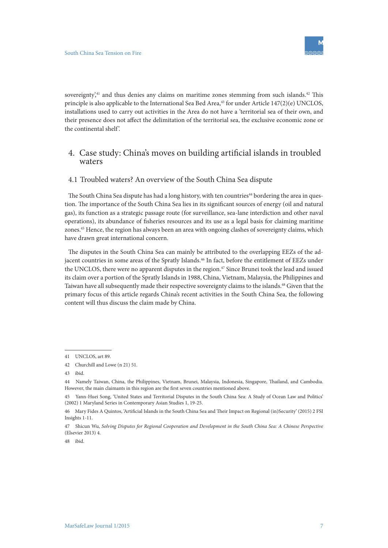sovereignty, $41$  and thus denies any claims on maritime zones stemming from such islands. $42$  This principle is also applicable to the International Sea Bed Area,<sup>43</sup> for under Article 147(2)(e) UNCLOS, installations used to carry out activities in the Area do not have a 'territorial sea of their own, and their presence does not affect the delimitation of the territorial sea, the exclusive economic zone or the continental shelf '.

# 4. Case study: China's moves on building artificial islands in troubled waters

### 4.1 Troubled waters? An overview of the South China Sea dispute

The South China Sea dispute has had a long history, with ten countries<sup>44</sup> bordering the area in question. The importance of the South China Sea lies in its significant sources of energy (oil and natural gas), its function as a strategic passage route (for surveillance, sea-lane interdiction and other naval operations), its abundance of fisheries resources and its use as a legal basis for claiming maritime zones.45 Hence, the region has always been an area with ongoing clashes of sovereignty claims, which have drawn great international concern.

The disputes in the South China Sea can mainly be attributed to the overlapping EEZs of the adjacent countries in some areas of the Spratly Islands.<sup>46</sup> In fact, before the entitlement of EEZs under the UNCLOS, there were no apparent disputes in the region.<sup>47</sup> Since Brunei took the lead and issued its claim over a portion of the Spratly Islands in 1988, China, Vietnam, Malaysia, the Philippines and Taiwan have all subsequently made their respective sovereignty claims to the islands.48 Given that the primary focus of this article regards China's recent activities in the South China Sea, the following content will thus discuss the claim made by China.

48 ibid.

<sup>41</sup> **UNCLOS** art 89

<sup>42</sup> Churchill and Lowe (n 21) 51.

<sup>43</sup> ibid.

<sup>44</sup> Namely Taiwan, China, the Philippines, Vietnam, Brunei, Malaysia, Indonesia, Singapore, Thailand, and Cambodia. However, the main claimants in this region are the first seven countries mentioned above.

<sup>45</sup> Yann-Huei Song, 'United States and Territorial Disputes in the South China Sea: A Study of Ocean Law and Politics' (2002) 1 Maryland Series in Contemporary Asian Studies 1, 19-25.

<sup>46</sup> Mary Fides A Quintos, 'Artificial Islands in the South China Sea and Their Impact on Regional (in)Security' (2015) 2 FSI Insights 1-11.

<sup>47</sup> Shicun Wu, *Solving Disputes for Regional Cooperation and Development in the South China Sea: A Chinese Perspective* (Elsevier 2013) 4.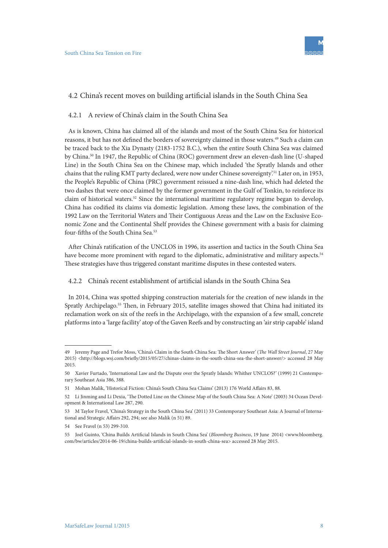

### 4.2 China's recent moves on building artificial islands in the South China Sea

#### 4.2.1 A review of China's claim in the South China Sea

As is known, China has claimed all of the islands and most of the South China Sea for historical reasons, it but has not defined the borders of sovereignty claimed in those waters.49 Such a claim can be traced back to the Xia Dynasty (2183-1752 B.C.), when the entire South China Sea was claimed by China.50 In 1947, the Republic of China (ROC) government drew an eleven-dash line (U-shaped Line) in the South China Sea on the Chinese map, which included 'the Spratly Islands and other chains that the ruling KMT party declared, were now under Chinese sovereignty'.51 Later on, in 1953, the People's Republic of China (PRC) government reissued a nine-dash line, which had deleted the two dashes that were once claimed by the former government in the Gulf of Tonkin, to reinforce its claim of historical waters.52 Since the international maritime regulatory regime began to develop, China has codified its claims via domestic legislation. Among these laws, the combination of the 1992 Law on the Territorial Waters and Their Contiguous Areas and the Law on the Exclusive Economic Zone and the Continental Shelf provides the Chinese government with a basis for claiming four-fifths of the South China Sea.<sup>53</sup>

After China's ratification of the UNCLOS in 1996, its assertion and tactics in the South China Sea have become more prominent with regard to the diplomatic, administrative and military aspects.<sup>54</sup> These strategies have thus triggered constant maritime disputes in these contested waters.

### 4.2.2 China's recent establishment of artificial islands in the South China Sea

In 2014, China was spotted shipping construction materials for the creation of new islands in the Spratly Archipelago.55 Then, in February 2015, satellite images showed that China had initiated its reclamation work on six of the reefs in the Archipelago, with the expansion of a few small, concrete platforms into a 'large facility' atop of the Gaven Reefs and by constructing an 'air strip capable' island

<sup>49</sup> Jeremy Page and Trefor Moss, 'China's Claim in the South China Sea: The Short Answer' (*The Wall Street Journal*, 27 May 2015) <http://blogs.wsj.com/briefly/2015/05/27/chinas-claims-in-the-south-china-sea-the-short-answer/> accessed 28 May 2015.

<sup>50</sup> Xavier Furtado, 'International Law and the Dispute over the Spratly Islands: Whither UNCLOS?' (1999) 21 Contemporary Southeast Asia 386, 388.

<sup>51</sup> Mohan Malik, 'Historical Fiction: China's South China Sea Claims' (2013) 176 World Affairs 83, 88.

<sup>52</sup> Li Jinming and Li Dexia, 'The Dotted Line on the Chinese Map of the South China Sea: A Note' (2003) 34 Ocean Development & International Law 287, 290.

<sup>53</sup> M Taylor Fravel, 'China's Strategy in the South China Sea' (2011) 33 Contemporary Southeast Asia: A Journal of International and Strategic Affairs 292, 294; see also Malik (n 51) 89.

<sup>54</sup> See Fravel (n 53) 299-310.

<sup>55</sup> Joel Guinto, 'China Builds Artificial Islands in South China Sea' (*Bloomberg Business*, 19 June 2014) <www.bloomberg. com/bw/articles/2014-06-19/china-builds-artificial-islands-in-south-china-sea> accessed 28 May 2015.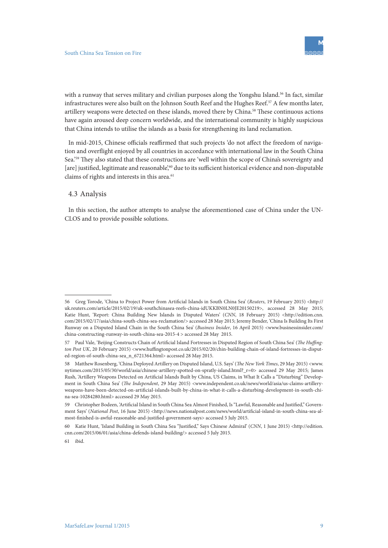with a runway that serves military and civilian purposes along the Yongshu Island.<sup>56</sup> In fact, similar infrastructures were also built on the Johnson South Reef and the Hughes Reef.<sup>57</sup> A few months later, artillery weapons were detected on these islands, moved there by China.58 These continuous actions have again aroused deep concern worldwide, and the international community is highly suspicious that China intends to utilise the islands as a basis for strengthening its land reclamation.

In mid-2015, Chinese officials reaffirmed that such projects 'do not affect the freedom of navigation and overflight enjoyed by all countries in accordance with international law in the South China Sea.'59 They also stated that these constructions are 'well within the scope of China's sovereignty and [are] justified, legitimate and reasonable',<sup>60</sup> due to its sufficient historical evidence and non-disputable claims of rights and interests in this area.<sup>61</sup>

### 4.3 Analysis

In this section, the author attempts to analyse the aforementioned case of China under the UN-CLOS and to provide possible solutions.

<sup>56</sup> Greg Torode, 'China to Project Power from Artificial Islands in South China Sea' (*Reuters*, 19 February 2015) <http:// uk.reuters.com/article/2015/02/19/uk-southchinasea-reefs-china-idUKKBN0LN0JE20150219>, accessed 28 May 2015; Katie Hunt, 'Report: China Building New Islands in Disputed Waters' (*CNN*, 18 February 2015) <http://edition.cnn. com/2015/02/17/asia/china-south-china-sea-reclamation/> accessed 28 May 2015; Jeremy Bender, 'China Is Building Its First Runway on a Disputed Island Chain in the South China Sea' (*Business Insider*, 16 April 2015) <www.businessinsider.com/ china-constructing-runway-in-south-china-sea-2015-4 > accessed 28 May 2015.

<sup>57</sup> Paul Vale, 'Beijing Constructs Chain of Artificial Island Fortresses in Disputed Region of South China Sea' (*The Huffington Post UK*, 20 February 2015) <www.huffingtonpost.co.uk/2015/02/20/chin-building-chain-of-island-fortresses-in-disputed-region-of-south-china-sea\_n\_6721364.html> accessed 28 May 2015.

<sup>58</sup> Matthew Rosenberg, 'China Deployed Artillery on Disputed Island, U.S. Says' (*The New York Times*, 29 May 2015) <www. nytimes.com/2015/05/30/world/asia/chinese-artillery-spotted-on-spratly-island.html?\_r=0> accessed 29 May 2015; James Rush, 'Artillery Weapons Detected on Artificial Islands Built by China, US Claims, in What It Calls a "Disturbing" Development in South China Sea' (*The Independent*, 29 May 2015) <www.independent.co.uk/news/world/asia/us-claims-artilleryweapons-have-been-detected-on-artificial-islands-built-by-china-in-what-it-calls-a-disturbing-development-in-south-china-sea-10284280.html> accessed 29 May 2015.

<sup>59</sup> Christopher Bodeen, 'Artificial Island in South China Sea Almost Finished, Is "Lawful, Reasonable and Justified," Government Says' (*National Post*, 16 June 2015) <http://news.nationalpost.com/news/world/artificial-island-in-south-china-sea-almost-finished-is-awful-reasonable-and-justified-government-says> accessed 5 July 2015.

<sup>60</sup> Katie Hunt, 'Island Building in South China Sea "Justified," Says Chinese Admiral' (*CNN*, 1 June 2015) <http://edition. cnn.com/2015/06/01/asia/china-defends-island-building/> accessed 5 July 2015.

<sup>61</sup> ibid.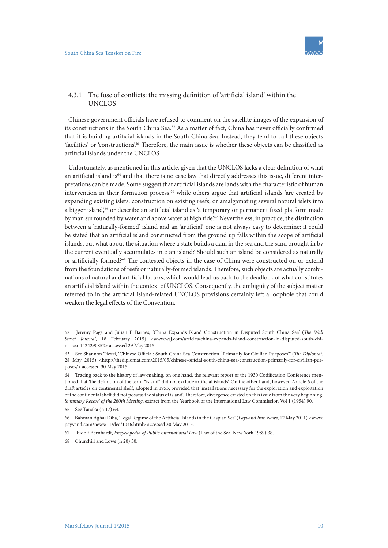

### 4.3.1 The fuse of conflicts: the missing definition of 'artificial island' within the UNCLOS

Chinese government officials have refused to comment on the satellite images of the expansion of its constructions in the South China Sea.62 As a matter of fact, China has never officially confirmed that it is building artificial islands in the South China Sea. Instead, they tend to call these objects 'facilities' or 'constructions'.<sup>63</sup> Therefore, the main issue is whether these objects can be classified as artificial islands under the UNCLOS.

Unfortunately, as mentioned in this article, given that the UNCLOS lacks a clear definition of what an artificial island is<sup>64</sup> and that there is no case law that directly addresses this issue, different interpretations can be made. Some suggest that artificial islands are lands with the characteristic of human intervention in their formation process,<sup>65</sup> while others argue that artificial islands 'are created by expanding existing islets, construction on existing reefs, or amalgamating several natural islets into a bigger island',<sup>66</sup> or describe an artificial island as 'a temporary or permanent fixed platform made by man surrounded by water and above water at high tide'.<sup>67</sup> Nevertheless, in practice, the distinction between a 'naturally-formed' island and an 'artificial' one is not always easy to determine: it could be stated that an artificial island constructed from the ground up falls within the scope of artificial islands, but what about the situation where a state builds a dam in the sea and the sand brought in by the current eventually accumulates into an island? Should such an island be considered as naturally or artificially formed?68 The contested objects in the case of China were constructed on or extend from the foundations of reefs or naturally-formed islands. Therefore, such objects are actually combinations of natural and artificial factors, which would lead us back to the deadlock of what constitutes an artificial island within the context of UNCLOS. Consequently, the ambiguity of the subject matter referred to in the artificial island-related UNCLOS provisions certainly left a loophole that could weaken the legal effects of the Convention.

<sup>62</sup> Jeremy Page and Julian E Barnes, 'China Expands Island Construction in Disputed South China Sea' (*The Wall Street Journal*, 18 February 2015) <www.wsj.com/articles/china-expands-island-construction-in-disputed-south-china-sea-1424290852> accessed 29 May 2015.

<sup>63</sup> See Shannon Tiezzi, 'Chinese Official: South China Sea Construction "Primarily for Civilian Purposes"' (*The Diplomat*, 28 May 2015) <http://thediplomat.com/2015/05/chinese-official-south-china-sea-construction-primarily-for-civilian-purposes/> accessed 30 May 2015.

<sup>64</sup> Tracing back to the history of law-making, on one hand, the relevant report of the 1930 Codification Conference mentioned that 'the definition of the term "island" did not exclude artificial islands'. On the other hand, however, Article 6 of the draft articles on continental shelf, adopted in 1953, provided that 'installations necessary for the exploration and exploitation of the continental shelf did not possess the status of island'. Therefore, divergence existed on this issue from the very beginning. *Summary Record of the 260th Meeting*, extract from the Yearbook of the International Law Commission Vol 1 (1954) 90.

<sup>65</sup> See Tanaka (n 17) 64.

<sup>66</sup> Bahman Aghai Diba, 'Legal Regime of the Artificial Islands in the Caspian Sea' (*Payvand Iran News*, 12 May 2011) <www. payvand.com/news/11/dec/1046.html> accessed 30 May 2015.

<sup>67</sup> Rudolf Bernhardt, *Encyclopedia of Public International Law* (Law of the Sea: New York 1989) 38.

<sup>68</sup> Churchill and Lowe (n 20) 50.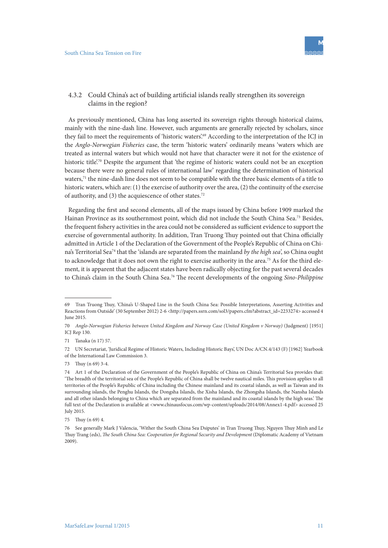

### 4.3.2 Could China's act of building artificial islands really strengthen its sovereign claims in the region?

As previously mentioned, China has long asserted its sovereign rights through historical claims, mainly with the nine-dash line. However, such arguments are generally rejected by scholars, since they fail to meet the requirements of 'historic waters'.<sup>69</sup> According to the interpretation of the ICJ in the *Anglo-Norwegian Fisheries* case, the term 'historic waters' ordinarily means 'waters which are treated as internal waters but which would not have that character were it not for the existence of historic title<sup>',70</sup> Despite the argument that 'the regime of historic waters could not be an exception because there were no general rules of international law' regarding the determination of historical waters,<sup>71</sup> the nine-dash line does not seem to be compatible with the three basic elements of a title to historic waters, which are: (1) the exercise of authority over the area, (2) the continuity of the exercise of authority, and (3) the acquiescence of other states.72

Regarding the first and second elements, all of the maps issued by China before 1909 marked the Hainan Province as its southernmost point, which did not include the South China Sea.73 Besides, the frequent fishery activities in the area could not be considered as sufficient evidence to support the exercise of governmental authority. In addition, Tran Truong Thuy pointed out that China officially admitted in Article 1 of the Declaration of the Government of the People's Republic of China on China's Territorial Sea74 that the 'islands are separated from the mainland *by the high sea*', so China ought to acknowledge that it does not own the right to exercise authority in the area.<sup>75</sup> As for the third element, it is apparent that the adjacent states have been radically objecting for the past several decades to China's claim in the South China Sea.76 The recent developments of the ongoing *Sino-Philippine* 

<sup>69</sup> Tran Truong Thuy, 'China's U-Shaped Line in the South China Sea: Possible Interpretations, Asserting Activities and Reactions from Outside' (30 September 2012) 2-6 <http://papers.ssrn.com/sol3/papers.cfm?abstract\_id=2233274> accessed 4 June 2015.

<sup>70</sup> *Anglo-Norwegian Fisheries between United Kingdom and Norway Case (United Kingdom v Norway)* (Judgment) [1951] ICJ Rep 130.

<sup>71</sup> Tanaka (n 17) 57.

<sup>72</sup> UN Secretariat, 'Juridical Regime of Historic Waters, Including Historic Bays', UN Doc A/CN.4/143 (F) [1962] Yearbook of the International Law Commission 3.

<sup>73</sup> Thuy (n 69) 3-4.

<sup>74</sup> Art 1 of the Declaration of the Government of the People's Republic of China on China's Territorial Sea provides that: 'The breadth of the territorial sea of the People's Republic of China shall be twelve nautical miles. This provision applies to all territories of the People's Republic of China including the Chinese mainland and its coastal islands, as well as Taiwan and its surrounding islands, the Penghu Islands, the Dongsha Islands, the Xisha Islands, the Zhongsha Islands, the Nansha Islands and all other islands belonging to China which are separated from the mainland and its coastal islands by the high seas.' The full text of the Declaration is available at <www.chinausfocus.com/wp-content/uploads/2014/08/Annex1-4.pdf> accessed 25 July 2015.

<sup>75</sup> Thuy (n 69) 4.

<sup>76</sup> See generally Mark J Valencia, 'Wither the South China Sea Dsiputes' in Tran Truong Thuy, Nguyen Thuy Minh and Le Thuy Trang (eds), *The South China Sea: Cooperation for Regional Security and Development* (Diplomatic Academy of Vietnam 2009).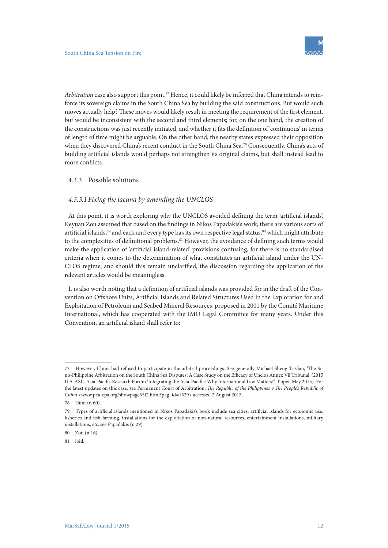*Arbitration* case also support this point.77 Hence, it could likely be inferred that China intends to reinforce its sovereign claims in the South China Sea by building the said constructions. But would such moves actually help? These moves would likely result in meeting the requirement of the first element, but would be inconsistent with the second and third elements; for, on the one hand, the creation of the constructions was just recently initiated, and whether it fits the definition of 'continuous' in terms of length of time might be arguable. On the other hand, the nearby states expressed their opposition when they discovered China's recent conduct in the South China Sea.<sup>78</sup> Consequently, China's acts of building artificial islands would perhaps not strengthen its original claims, but shall instead lead to more conflicts.

#### 4.3.3 Possible solutions

#### *4.3.3.1 Fixing the lacuna by amending the UNCLOS*

At this point, it is worth exploring why the UNCLOS avoided defining the term 'artificial islands'. Keyuan Zou assumed that based on the findings in Nikos Papadakis's work, there are various sorts of artificial islands,<sup>79</sup> and each and every type has its own respective legal status,<sup>80</sup> which might attribute to the complexities of definitional problems.<sup>81</sup> However, the avoidance of defining such terms would make the application of 'artificial island-related' provisions confusing, for there is no standardised criteria when it comes to the determination of what constitutes an artificial island under the UN-CLOS regime, and should this remain unclarified, the discussion regarding the application of the relevant articles would be meaningless.

It is also worth noting that a definition of artificial islands was provided for in the draft of the Convention on Offshore Units, Artificial Islands and Related Structures Used in the Exploration for and Exploitation of Petroleum and Seabed Mineral Resources, proposed in 2001 by the Comité Maritime International, which has cooperated with the IMO Legal Committee for many years. Under this Convention, an artificial island shall refer to:

<sup>77</sup> However, China had refused to participate in the arbitral proceedings. See generally Michael Sheng-Ti Gau, 'The Sino-Philippine Arbitration on the South China Sea Disputes: A Case Study on the Efficacy of Unclos Annex Vii Tribunal' (2015 ILA-ASIL Asia-Pacific Research Forum 'Integrating the Asia-Pacific: Why International Law Matters?', Taipei, May 2015). For the latest updates on this case, see Permanent Court of Arbitration, *The Republic of the Philippines v The People's Republic of China* <www.pca-cpa.org/showpage65f2.html?pag\_id=1529> accessed 2 August 2015.

<sup>78</sup> Hunt (n 60).

<sup>79</sup> Types of artificial islands mentioned in Nikos Papadakis's book include sea cities, artificial islands for economic use, fisheries and fish-farming, installations for the exploitation of non-natural resources, entertainment installations, military installations, *etc*, see Papadakis (n 29).

<sup>80</sup> Zou (n 16).

<sup>81</sup> ibid.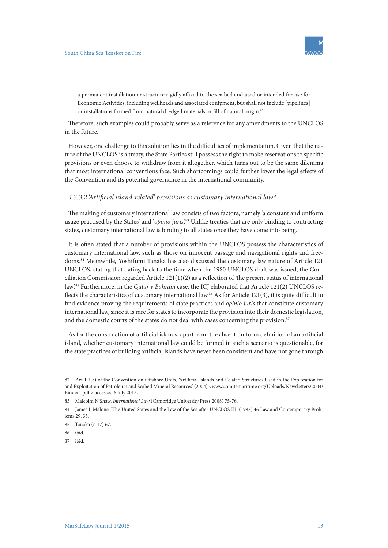

a permanent installation or structure rigidly affixed to the sea bed and used or intended for use for Economic Activities, including wellheads and associated equipment, but shall not include [pipelines] or installations formed from natural dredged materials or fill of natural origin.<sup>82</sup>

Therefore, such examples could probably serve as a reference for any amendments to the UNCLOS in the future.

However, one challenge to this solution lies in the difficulties of implementation. Given that the nature of the UNCLOS is a treaty, the State Parties still possess the right to make reservations to specific provisions or even choose to withdraw from it altogether, which turns out to be the same dilemma that most international conventions face. Such shortcomings could further lower the legal effects of the Convention and its potential governance in the international community.

#### *4.3.3.2 'Artificial island-related' provisions as customary international law?*

The making of customary international law consists of two factors, namely 'a constant and uniform usage practised by the States' and '*opinio juris*'.<sup>83</sup> Unlike treaties that are only binding to contracting states, customary international law is binding to all states once they have come into being.

It is often stated that a number of provisions within the UNCLOS possess the characteristics of customary international law, such as those on innocent passage and navigational rights and freedoms.84 Meanwhile, Yoshifumi Tanaka has also discussed the customary law nature of Article 121 UNCLOS, stating that dating back to the time when the 1980 UNCLOS draft was issued, the Conciliation Commission regarded Article 121(1)(2) as a reflection of 'the present status of international law'.85 Furthermore, in the *Qatar v Bahrain* case, the ICJ elaborated that Article 121(2) UNCLOS reflects the characteristics of customary international law.<sup>86</sup> As for Article 121(3), it is quite difficult to find evidence proving the requirements of state practices and *opinio juris* that constitute customary international law, since it is rare for states to incorporate the provision into their domestic legislation, and the domestic courts of the states do not deal with cases concerning the provision.<sup>87</sup>

As for the construction of artificial islands, apart from the absent uniform definition of an artificial island, whether customary international law could be formed in such a scenario is questionable, for the state practices of building artificial islands have never been consistent and have not gone through

<sup>82</sup> Art 1.1(a) of the Convention on Offshore Units, 'Artificial Islands and Related Structures Used in the Exploration for and Exploitation of Petroleum and Seabed Mineral Resources' (2004) <www.comitemaritime.org/Uploads/Newsletters/2004/ Binder1.pdf > accessed 6 July 2015.

<sup>83</sup> Malcolm N Shaw, *International Law* (Cambridge University Press 2008) 75-76.

<sup>84</sup> James L Malone, 'The United States and the Law of the Sea after UNCLOS III' (1983) 46 Law and Contemporary Problems 29, 33.

<sup>85</sup> Tanaka (n 17) 67.

<sup>86</sup> ibid.

<sup>87</sup> ibid.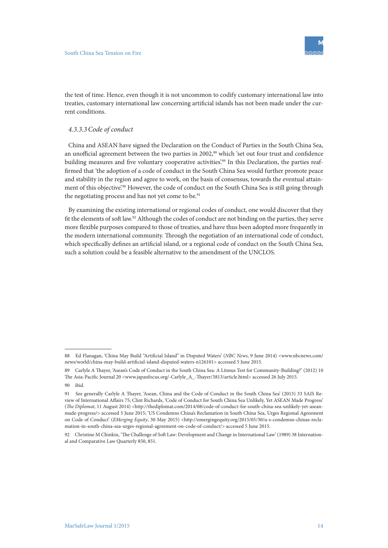

the test of time. Hence, even though it is not uncommon to codify customary international law into treaties, customary international law concerning artificial islands has not been made under the current conditions.

### *4.3.3.3Code of conduct*

China and ASEAN have signed the Declaration on the Conduct of Parties in the South China Sea, an unofficial agreement between the two parties in 2002,<sup>88</sup> which 'set out four trust and confidence building measures and five voluntary cooperative activities.<sup>89</sup> In this Declaration, the parties reaffirmed that 'the adoption of a code of conduct in the South China Sea would further promote peace and stability in the region and agree to work, on the basis of consensus, towards the eventual attainment of this objective'.<sup>90</sup> However, the code of conduct on the South China Sea is still going through the negotiating process and has not yet come to be.<sup>91</sup>

By examining the existing international or regional codes of conduct, one would discover that they fit the elements of soft law.92 Although the codes of conduct are not binding on the parties, they serve more flexible purposes compared to those of treaties, and have thus been adopted more frequently in the modern international community. Through the negotiation of an international code of conduct, which specifically defines an artificial island, or a regional code of conduct on the South China Sea, such a solution could be a feasible alternative to the amendment of the UNCLOS.

<sup>88</sup> Ed Flanagan, 'China May Build "Artificial Island" in Disputed Waters' (*NBC News*, 9 June 2014) <www.nbcnews.com/ news/world/china-may-build-artificial-island-disputed-waters-n126101> accessed 5 June 2015.

<sup>89</sup> Carlyle A Thayer, 'Asean's Code of Conduct in the South China Sea: A Litmus Test for Community-Building?' (2012) 10 The Asia-Pacific Journal 20 <www.japanfocus.org/-Carlyle\_A\_-Thayer/3813/article.html> accessed 26 July 2015.

<sup>90</sup> ibid. 91 See generally Carlyle A Thayer, 'Asean, China and the Code of Conduct in the South China Sea' (2013) 33 SAIS Review of International Affairs 75; Clint Richards, 'Code of Conduct for South China Sea Unlikely, Yet ASEAN Made Progress' (*The Diplomat*, 11 August 2014) <http://thediplomat.com/2014/08/code-of-conduct-for-south-china-sea-unlikely-yet-aseanmade-progress/> accessed 5 June 2015; 'US Condemns China's Reclamation in South China Sea, Urges Regional Agreement on Code of Conduct' (*EMerging Equity*, 30 May 2015) <http://emergingequity.org/2015/05/30/u-s-condemns-chinas-reclamation-in-south-china-sea-urges-regional-agreement-on-code-of-conduct/> accessed 5 June 2015.

<sup>92</sup> Christine M Chinkin, 'The Challenge of Soft Law: Development and Change in International Law' (1989) 38 International and Comparative Law Quarterly 850, 851.